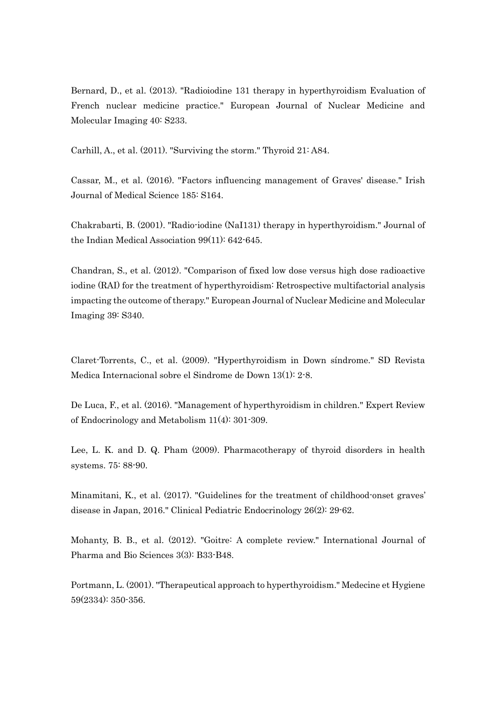Bernard, D., et al. (2013). "Radioiodine 131 therapy in hyperthyroidism Evaluation of French nuclear medicine practice." European Journal of Nuclear Medicine and Molecular Imaging 40: S233.

Carhill, A., et al. (2011). "Surviving the storm." Thyroid 21: A84.

Cassar, M., et al. (2016). "Factors influencing management of Graves' disease." Irish Journal of Medical Science 185: S164.

Chakrabarti, B. (2001). "Radio-iodine (NaI131) therapy in hyperthyroidism." Journal of the Indian Medical Association 99(11): 642-645.

Chandran, S., et al. (2012). "Comparison of fixed low dose versus high dose radioactive iodine (RAI) for the treatment of hyperthyroidism: Retrospective multifactorial analysis impacting the outcome of therapy." European Journal of Nuclear Medicine and Molecular Imaging 39: S340.

Claret-Torrents, C., et al. (2009). "Hyperthyroidism in Down síndrome." SD Revista Medica Internacional sobre el Sindrome de Down 13(1): 2-8.

De Luca, F., et al. (2016). "Management of hyperthyroidism in children." Expert Review of Endocrinology and Metabolism 11(4): 301-309.

Lee, L. K. and D. Q. Pham (2009). Pharmacotherapy of thyroid disorders in health systems. 75: 88-90.

Minamitani, K., et al. (2017). "Guidelines for the treatment of childhood-onset graves' disease in Japan, 2016." Clinical Pediatric Endocrinology 26(2): 29-62.

Mohanty, B. B., et al. (2012). "Goitre: A complete review." International Journal of Pharma and Bio Sciences 3(3): B33-B48.

Portmann, L. (2001). "Therapeutical approach to hyperthyroidism." Medecine et Hygiene 59(2334): 350-356.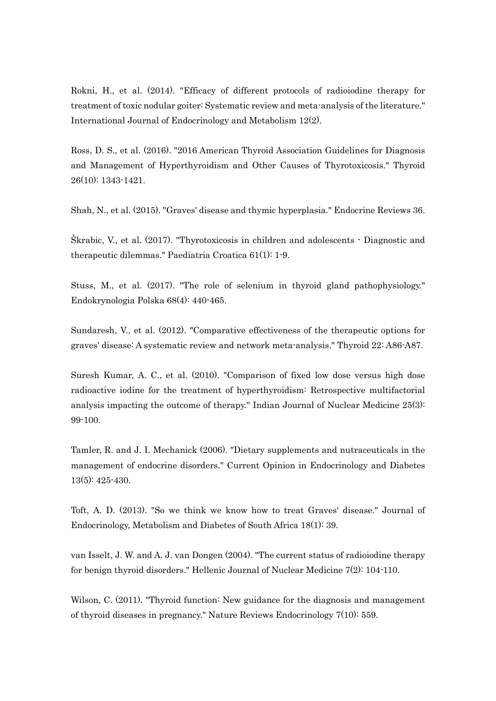Rokni, H., et al. (2014). "Efficacy of different protocols of radioiodine therapy for treatment of toxic nodular goiter: Systematic review and meta-analysis of the literature." International Journal of Endocrinology and Metabolism 12(2).

Ross, D. S., et al. (2016). "2016 American Thyroid Association Guidelines for Diagnosis and Management of Hyperthyroidism and Other Causes of Thyrotoxicosis." Thyroid 26(10): 1343-1421.

Shah, N., et al. (2015). "Graves' disease and thymic hyperplasia." Endocrine Reviews 36.

Škrabic, V., et al. (2017). "Thyrotoxicosis in children and adolescents - Diagnostic and therapeutic dilemmas." Paediatria Croatica 61(1): 1-9.

Stuss, M., et al. (2017). "The role of selenium in thyroid gland pathophysiology." Endokrynologia Polska 68(4): 440-465.

Sundaresh, V., et al. (2012). "Comparative effectiveness of the therapeutic options for graves' disease: A systematic review and network meta-analysis." Thyroid 22: A86-A87.

Suresh Kumar, A. C., et al. (2010). "Comparison of fixed low dose versus high dose radioactive iodine for the treatment of hyperthyroidism: Retrospective multifactorial analysis impacting the outcome of therapy." Indian Journal of Nuclear Medicine 25(3): 99-100.

Tamler, R. and J. I. Mechanick (2006). "Dietary supplements and nutraceuticals in the management of endocrine disorders." Current Opinion in Endocrinology and Diabetes 13(5): 425-430.

Toft, A. D. (2013). "So we think we know how to treat Graves' disease." Journal of Endocrinology, Metabolism and Diabetes of South Africa 18(1): 39.

van Isselt, J. W. and A. J. van Dongen (2004). "The current status of radioiodine therapy for benign thyroid disorders." Hellenic Journal of Nuclear Medicine 7(2): 104-110.

Wilson, C. (2011). "Thyroid function: New guidance for the diagnosis and management of thyroid diseases in pregnancy." Nature Reviews Endocrinology 7(10): 559.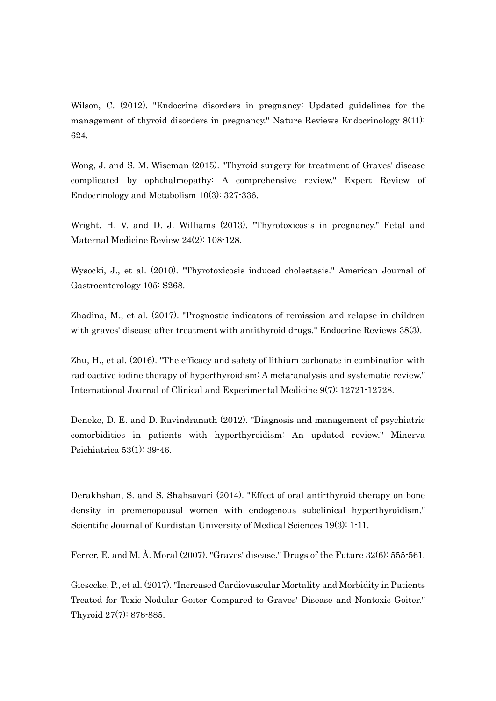Wilson, C. (2012). "Endocrine disorders in pregnancy: Updated guidelines for the management of thyroid disorders in pregnancy." Nature Reviews Endocrinology 8(11): 624.

Wong, J. and S. M. Wiseman (2015). "Thyroid surgery for treatment of Graves' disease complicated by ophthalmopathy: A comprehensive review." Expert Review of Endocrinology and Metabolism 10(3): 327-336.

Wright, H. V. and D. J. Williams (2013). "Thyrotoxicosis in pregnancy." Fetal and Maternal Medicine Review 24(2): 108-128.

Wysocki, J., et al. (2010). "Thyrotoxicosis induced cholestasis." American Journal of Gastroenterology 105: S268.

Zhadina, M., et al. (2017). "Prognostic indicators of remission and relapse in children with graves' disease after treatment with antithyroid drugs." Endocrine Reviews 38(3).

Zhu, H., et al. (2016). "The efficacy and safety of lithium carbonate in combination with radioactive iodine therapy of hyperthyroidism: A meta-analysis and systematic review." International Journal of Clinical and Experimental Medicine 9(7): 12721-12728.

Deneke, D. E. and D. Ravindranath (2012). "Diagnosis and management of psychiatric comorbidities in patients with hyperthyroidism: An updated review." Minerva Psichiatrica 53(1): 39-46.

Derakhshan, S. and S. Shahsavari (2014). "Effect of oral anti-thyroid therapy on bone density in premenopausal women with endogenous subclinical hyperthyroidism." Scientific Journal of Kurdistan University of Medical Sciences 19(3): 1-11.

Ferrer, E. and M. À. Moral (2007). "Graves' disease." Drugs of the Future 32(6): 555-561.

Giesecke, P., et al. (2017). "Increased Cardiovascular Mortality and Morbidity in Patients Treated for Toxic Nodular Goiter Compared to Graves' Disease and Nontoxic Goiter." Thyroid 27(7): 878-885.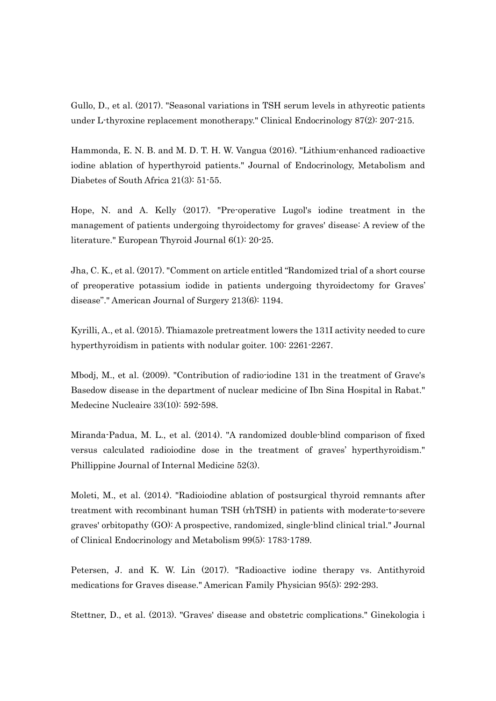Gullo, D., et al. (2017). "Seasonal variations in TSH serum levels in athyreotic patients under L-thyroxine replacement monotherapy." Clinical Endocrinology 87(2): 207-215.

Hammonda, E. N. B. and M. D. T. H. W. Vangua (2016). "Lithium-enhanced radioactive iodine ablation of hyperthyroid patients." Journal of Endocrinology, Metabolism and Diabetes of South Africa 21(3): 51-55.

Hope, N. and A. Kelly (2017). "Pre-operative Lugol's iodine treatment in the management of patients undergoing thyroidectomy for graves' disease: A review of the literature." European Thyroid Journal 6(1): 20-25.

Jha, C. K., et al. (2017). "Comment on article entitled "Randomized trial of a short course of preoperative potassium iodide in patients undergoing thyroidectomy for Graves' disease"." American Journal of Surgery 213(6): 1194.

Kyrilli, A., et al. (2015). Thiamazole pretreatment lowers the 131I activity needed to cure hyperthyroidism in patients with nodular goiter. 100: 2261-2267.

Mbodj, M., et al. (2009). "Contribution of radio-iodine 131 in the treatment of Grave's Basedow disease in the department of nuclear medicine of Ibn Sina Hospital in Rabat." Medecine Nucleaire 33(10): 592-598.

Miranda-Padua, M. L., et al. (2014). "A randomized double-blind comparison of fixed versus calculated radioiodine dose in the treatment of graves' hyperthyroidism." Phillippine Journal of Internal Medicine 52(3).

Moleti, M., et al. (2014). "Radioiodine ablation of postsurgical thyroid remnants after treatment with recombinant human TSH (rhTSH) in patients with moderate-to-severe graves' orbitopathy (GO): A prospective, randomized, single-blind clinical trial." Journal of Clinical Endocrinology and Metabolism 99(5): 1783-1789.

Petersen, J. and K. W. Lin (2017). "Radioactive iodine therapy vs. Antithyroid medications for Graves disease." American Family Physician 95(5): 292-293.

Stettner, D., et al. (2013). "Graves' disease and obstetric complications." Ginekologia i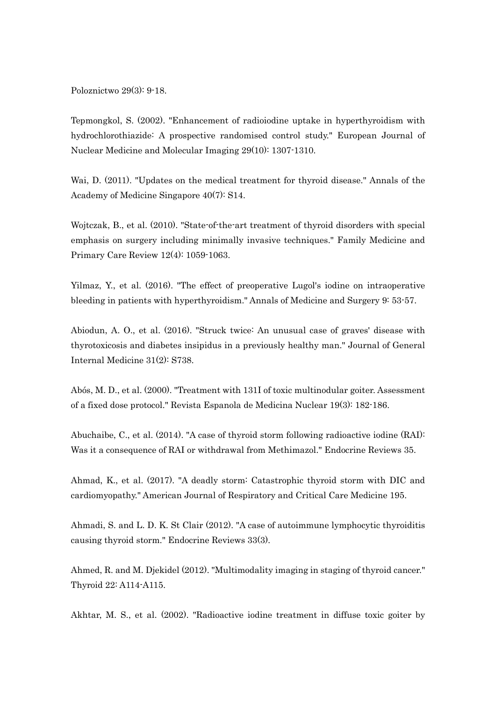Poloznictwo 29(3): 9-18.

Tepmongkol, S. (2002). "Enhancement of radioiodine uptake in hyperthyroidism with hydrochlorothiazide: A prospective randomised control study." European Journal of Nuclear Medicine and Molecular Imaging 29(10): 1307-1310.

Wai, D. (2011). "Updates on the medical treatment for thyroid disease." Annals of the Academy of Medicine Singapore 40(7): S14.

Wojtczak, B., et al. (2010). "State-of-the-art treatment of thyroid disorders with special emphasis on surgery including minimally invasive techniques." Family Medicine and Primary Care Review 12(4): 1059-1063.

Yilmaz, Y., et al. (2016). "The effect of preoperative Lugol's iodine on intraoperative bleeding in patients with hyperthyroidism." Annals of Medicine and Surgery 9: 53-57.

Abiodun, A. O., et al. (2016). "Struck twice: An unusual case of graves' disease with thyrotoxicosis and diabetes insipidus in a previously healthy man." Journal of General Internal Medicine 31(2): S738.

Abós, M. D., et al. (2000). "Treatment with 131I of toxic multinodular goiter. Assessment of a fixed dose protocol." Revista Espanola de Medicina Nuclear 19(3): 182-186.

Abuchaibe, C., et al. (2014). "A case of thyroid storm following radioactive iodine (RAI): Was it a consequence of RAI or withdrawal from Methimazol." Endocrine Reviews 35.

Ahmad, K., et al. (2017). "A deadly storm: Catastrophic thyroid storm with DIC and cardiomyopathy." American Journal of Respiratory and Critical Care Medicine 195.

Ahmadi, S. and L. D. K. St Clair (2012). "A case of autoimmune lymphocytic thyroiditis causing thyroid storm." Endocrine Reviews 33(3).

Ahmed, R. and M. Djekidel (2012). "Multimodality imaging in staging of thyroid cancer." Thyroid 22: A114-A115.

Akhtar, M. S., et al. (2002). "Radioactive iodine treatment in diffuse toxic goiter by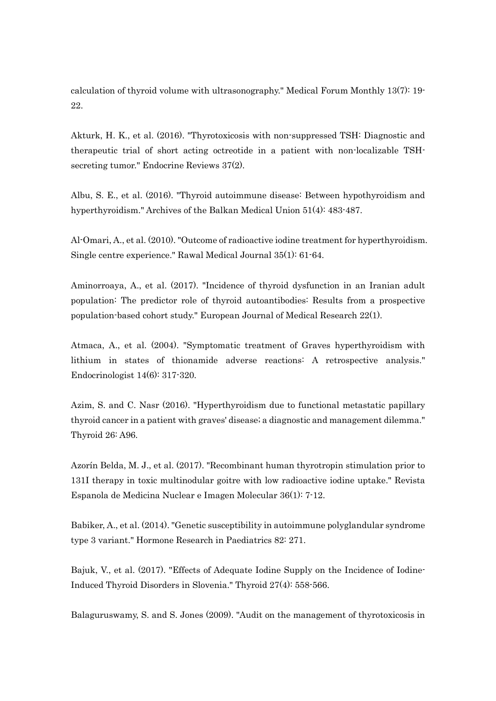calculation of thyroid volume with ultrasonography." Medical Forum Monthly 13(7): 19- 22.

Akturk, H. K., et al. (2016). "Thyrotoxicosis with non-suppressed TSH: Diagnostic and therapeutic trial of short acting octreotide in a patient with non-localizable TSHsecreting tumor." Endocrine Reviews 37(2).

Albu, S. E., et al. (2016). "Thyroid autoimmune disease: Between hypothyroidism and hyperthyroidism." Archives of the Balkan Medical Union 51(4): 483-487.

Al-Omari, A., et al. (2010). "Outcome of radioactive iodine treatment for hyperthyroidism. Single centre experience." Rawal Medical Journal 35(1): 61-64.

Aminorroaya, A., et al. (2017). "Incidence of thyroid dysfunction in an Iranian adult population: The predictor role of thyroid autoantibodies: Results from a prospective population-based cohort study." European Journal of Medical Research 22(1).

Atmaca, A., et al. (2004). "Symptomatic treatment of Graves hyperthyroidism with lithium in states of thionamide adverse reactions: A retrospective analysis." Endocrinologist 14(6): 317-320.

Azim, S. and C. Nasr (2016). "Hyperthyroidism due to functional metastatic papillary thyroid cancer in a patient with graves' disease; a diagnostic and management dilemma." Thyroid 26: A96.

Azorín Belda, M. J., et al. (2017). "Recombinant human thyrotropin stimulation prior to 131I therapy in toxic multinodular goitre with low radioactive iodine uptake." Revista Espanola de Medicina Nuclear e Imagen Molecular 36(1): 7-12.

Babiker, A., et al. (2014). "Genetic susceptibility in autoimmune polyglandular syndrome type 3 variant." Hormone Research in Paediatrics 82: 271.

Bajuk, V., et al. (2017). "Effects of Adequate Iodine Supply on the Incidence of Iodine-Induced Thyroid Disorders in Slovenia." Thyroid 27(4): 558-566.

Balaguruswamy, S. and S. Jones (2009). "Audit on the management of thyrotoxicosis in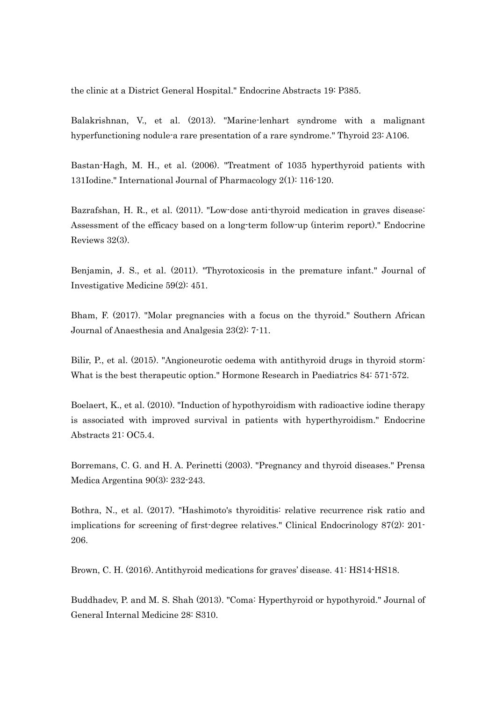the clinic at a District General Hospital." Endocrine Abstracts 19: P385.

Balakrishnan, V., et al. (2013). "Marine-lenhart syndrome with a malignant hyperfunctioning nodule-a rare presentation of a rare syndrome." Thyroid 23: A106.

Bastan-Hagh, M. H., et al. (2006). "Treatment of 1035 hyperthyroid patients with 131Iodine." International Journal of Pharmacology 2(1): 116-120.

Bazrafshan, H. R., et al. (2011). "Low-dose anti-thyroid medication in graves disease: Assessment of the efficacy based on a long-term follow-up (interim report)." Endocrine Reviews 32(3).

Benjamin, J. S., et al. (2011). "Thyrotoxicosis in the premature infant." Journal of Investigative Medicine 59(2): 451.

Bham, F. (2017). "Molar pregnancies with a focus on the thyroid." Southern African Journal of Anaesthesia and Analgesia 23(2): 7-11.

Bilir, P., et al. (2015). "Angioneurotic oedema with antithyroid drugs in thyroid storm: What is the best therapeutic option." Hormone Research in Paediatrics 84: 571-572.

Boelaert, K., et al. (2010). "Induction of hypothyroidism with radioactive iodine therapy is associated with improved survival in patients with hyperthyroidism." Endocrine Abstracts 21: OC5.4.

Borremans, C. G. and H. A. Perinetti (2003). "Pregnancy and thyroid diseases." Prensa Medica Argentina 90(3): 232-243.

Bothra, N., et al. (2017). "Hashimoto's thyroiditis: relative recurrence risk ratio and implications for screening of first-degree relatives." Clinical Endocrinology 87(2): 201- 206.

Brown, C. H. (2016). Antithyroid medications for graves' disease. 41: HS14-HS18.

Buddhadev, P. and M. S. Shah (2013). "Coma: Hyperthyroid or hypothyroid." Journal of General Internal Medicine 28: S310.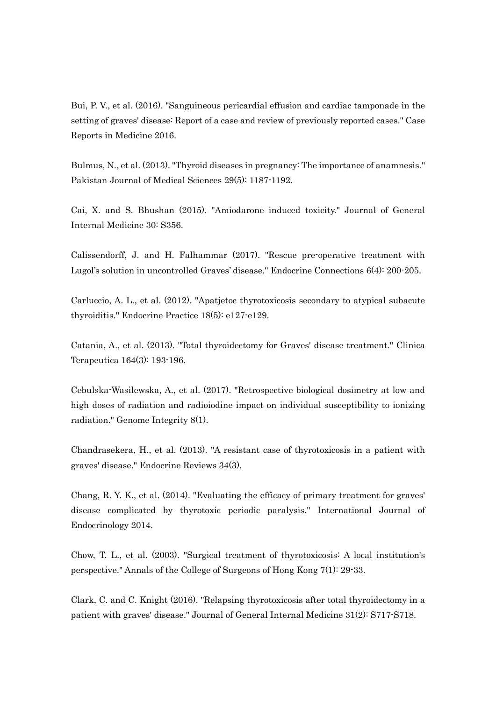Bui, P. V., et al. (2016). "Sanguineous pericardial effusion and cardiac tamponade in the setting of graves' disease: Report of a case and review of previously reported cases." Case Reports in Medicine 2016.

Bulmus, N., et al. (2013). "Thyroid diseases in pregnancy: The importance of anamnesis." Pakistan Journal of Medical Sciences 29(5): 1187-1192.

Cai, X. and S. Bhushan (2015). "Amiodarone induced toxicity." Journal of General Internal Medicine 30: S356.

Calissendorff, J. and H. Falhammar (2017). "Rescue pre-operative treatment with Lugol's solution in uncontrolled Graves' disease." Endocrine Connections 6(4): 200-205.

Carluccio, A. L., et al. (2012). "Apatjetoc thyrotoxicosis secondary to atypical subacute thyroiditis." Endocrine Practice 18(5): e127-e129.

Catania, A., et al. (2013). "Total thyroidectomy for Graves' disease treatment." Clinica Terapeutica 164(3): 193-196.

Cebulska-Wasilewska, A., et al. (2017). "Retrospective biological dosimetry at low and high doses of radiation and radioiodine impact on individual susceptibility to ionizing radiation." Genome Integrity 8(1).

Chandrasekera, H., et al. (2013). "A resistant case of thyrotoxicosis in a patient with graves' disease." Endocrine Reviews 34(3).

Chang, R. Y. K., et al. (2014). "Evaluating the efficacy of primary treatment for graves' disease complicated by thyrotoxic periodic paralysis." International Journal of Endocrinology 2014.

Chow, T. L., et al. (2003). "Surgical treatment of thyrotoxicosis: A local institution's perspective." Annals of the College of Surgeons of Hong Kong 7(1): 29-33.

Clark, C. and C. Knight (2016). "Relapsing thyrotoxicosis after total thyroidectomy in a patient with graves' disease." Journal of General Internal Medicine 31(2): S717-S718.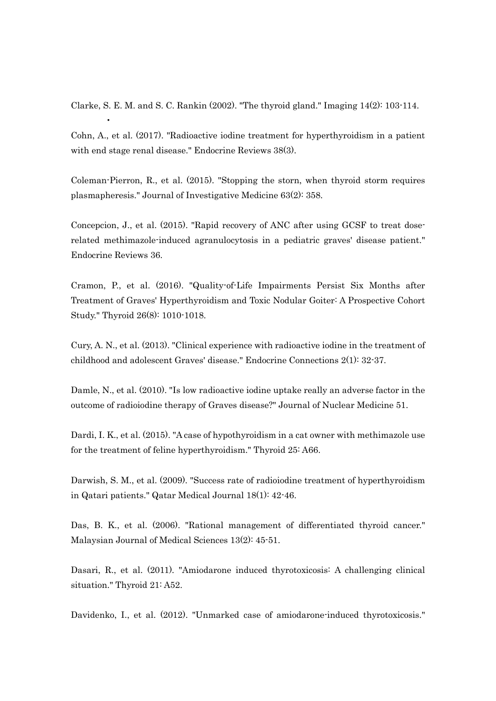Clarke, S. E. M. and S. C. Rankin  $(2002)$ . "The thyroid gland." Imaging  $14(2)$ : 103-114.

•

Cohn, A., et al. (2017). "Radioactive iodine treatment for hyperthyroidism in a patient with end stage renal disease." Endocrine Reviews 38(3).

Coleman-Pierron, R., et al. (2015). "Stopping the storn, when thyroid storm requires plasmapheresis." Journal of Investigative Medicine 63(2): 358.

Concepcion, J., et al. (2015). "Rapid recovery of ANC after using GCSF to treat doserelated methimazole-induced agranulocytosis in a pediatric graves' disease patient." Endocrine Reviews 36.

Cramon, P., et al. (2016). "Quality-of-Life Impairments Persist Six Months after Treatment of Graves' Hyperthyroidism and Toxic Nodular Goiter: A Prospective Cohort Study." Thyroid 26(8): 1010-1018.

Cury, A. N., et al. (2013). "Clinical experience with radioactive iodine in the treatment of childhood and adolescent Graves' disease." Endocrine Connections 2(1): 32-37.

Damle, N., et al. (2010). "Is low radioactive iodine uptake really an adverse factor in the outcome of radioiodine therapy of Graves disease?" Journal of Nuclear Medicine 51.

Dardi, I. K., et al. (2015). "A case of hypothyroidism in a cat owner with methimazole use for the treatment of feline hyperthyroidism." Thyroid 25: A66.

Darwish, S. M., et al. (2009). "Success rate of radioiodine treatment of hyperthyroidism in Qatari patients." Qatar Medical Journal 18(1): 42-46.

Das, B. K., et al. (2006). "Rational management of differentiated thyroid cancer." Malaysian Journal of Medical Sciences 13(2): 45-51.

Dasari, R., et al. (2011). "Amiodarone induced thyrotoxicosis: A challenging clinical situation." Thyroid 21: A52.

Davidenko, I., et al. (2012). "Unmarked case of amiodarone-induced thyrotoxicosis."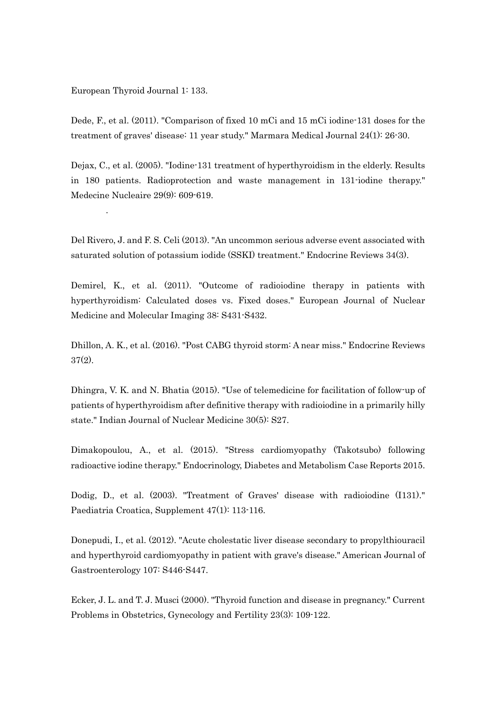European Thyroid Journal 1: 133.

.

Dede, F., et al. (2011). "Comparison of fixed 10 mCi and 15 mCi iodine-131 doses for the treatment of graves' disease: 11 year study." Marmara Medical Journal 24(1): 26-30.

Dejax, C., et al. (2005). "Iodine-131 treatment of hyperthyroidism in the elderly. Results in 180 patients. Radioprotection and waste management in 131-iodine therapy." Medecine Nucleaire 29(9): 609-619.

Del Rivero, J. and F. S. Celi (2013). "An uncommon serious adverse event associated with saturated solution of potassium iodide (SSKI) treatment." Endocrine Reviews 34(3).

Demirel, K., et al. (2011). "Outcome of radioiodine therapy in patients with hyperthyroidism: Calculated doses vs. Fixed doses." European Journal of Nuclear Medicine and Molecular Imaging 38: S431-S432.

Dhillon, A. K., et al. (2016). "Post CABG thyroid storm: A near miss." Endocrine Reviews 37(2).

Dhingra, V. K. and N. Bhatia (2015). "Use of telemedicine for facilitation of follow-up of patients of hyperthyroidism after definitive therapy with radioiodine in a primarily hilly state." Indian Journal of Nuclear Medicine 30(5): S27.

Dimakopoulou, A., et al. (2015). "Stress cardiomyopathy (Takotsubo) following radioactive iodine therapy." Endocrinology, Diabetes and Metabolism Case Reports 2015.

Dodig, D., et al. (2003). "Treatment of Graves' disease with radioiodine (I131)." Paediatria Croatica, Supplement 47(1): 113-116.

Donepudi, I., et al. (2012). "Acute cholestatic liver disease secondary to propylthiouracil and hyperthyroid cardiomyopathy in patient with grave's disease." American Journal of Gastroenterology 107: S446-S447.

Ecker, J. L. and T. J. Musci (2000). "Thyroid function and disease in pregnancy." Current Problems in Obstetrics, Gynecology and Fertility 23(3): 109-122.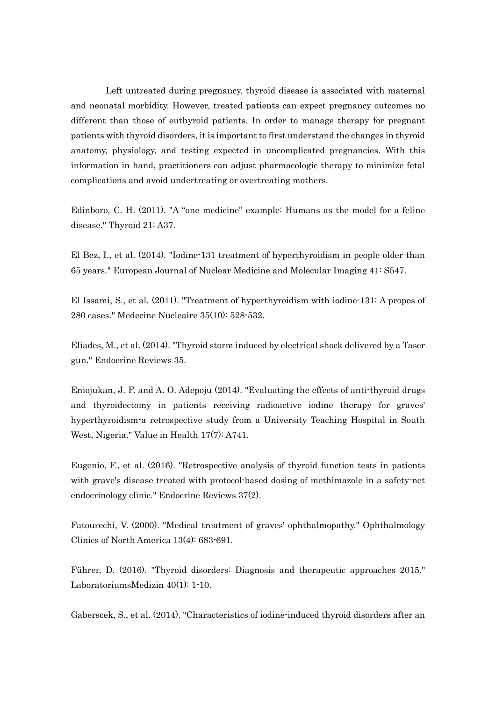Left untreated during pregnancy, thyroid disease is associated with maternal and neonatal morbidity. However, treated patients can expect pregnancy outcomes no different than those of euthyroid patients. In order to manage therapy for pregnant patients with thyroid disorders, it is important to first understand the changes in thyroid anatomy, physiology, and testing expected in uncomplicated pregnancies. With this information in hand, practitioners can adjust pharmacologic therapy to minimize fetal complications and avoid undertreating or overtreating mothers.

Edinboro, C. H. (2011). "A "one medicine" example: Humans as the model for a feline disease." Thyroid 21: A37.

El Bez, I., et al. (2014). "Iodine-131 treatment of hyperthyroidism in people older than 65 years." European Journal of Nuclear Medicine and Molecular Imaging 41: S547.

El Issami, S., et al. (2011). "Treatment of hyperthyroidism with iodine-131: A propos of 280 cases." Medecine Nucleaire 35(10): 528-532.

Eliades, M., et al. (2014). "Thyroid storm induced by electrical shock delivered by a Taser gun." Endocrine Reviews 35.

Eniojukan, J. F. and A. O. Adepoju (2014). "Evaluating the effects of anti-thyroid drugs and thyroidectomy in patients receiving radioactive iodine therapy for graves' hyperthyroidism-a retrospective study from a University Teaching Hospital in South West, Nigeria." Value in Health 17(7): A741.

Eugenio, F., et al. (2016). "Retrospective analysis of thyroid function tests in patients with grave's disease treated with protocol-based dosing of methimazole in a safety-net endocrinology clinic." Endocrine Reviews 37(2).

Fatourechi, V. (2000). "Medical treatment of graves' ophthalmopathy." Ophthalmology Clinics of North America 13(4): 683-691.

Führer, D. (2016). "Thyroid disorders: Diagnosis and therapeutic approaches 2015." LaboratoriumsMedizin 40(1): 1-10.

Gaberscek, S., et al. (2014). "Characteristics of iodine-induced thyroid disorders after an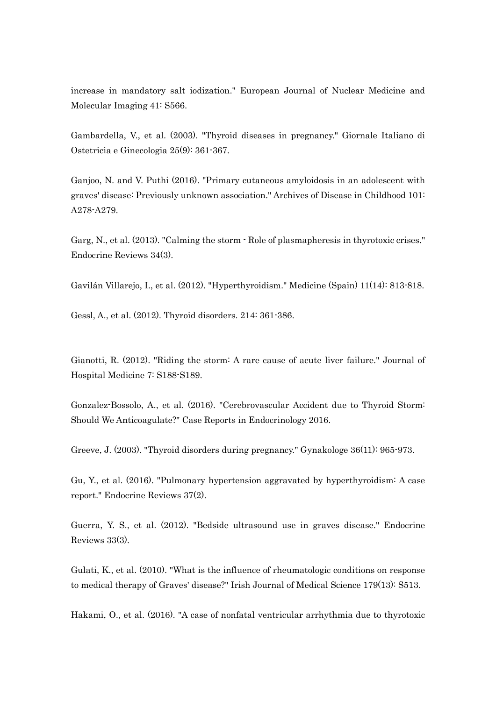increase in mandatory salt iodization." European Journal of Nuclear Medicine and Molecular Imaging 41: S566.

Gambardella, V., et al. (2003). "Thyroid diseases in pregnancy." Giornale Italiano di Ostetricia e Ginecologia 25(9): 361-367.

Ganjoo, N. and V. Puthi (2016). "Primary cutaneous amyloidosis in an adolescent with graves' disease: Previously unknown association." Archives of Disease in Childhood 101: A278-A279.

Garg, N., et al. (2013). "Calming the storm - Role of plasmapheresis in thyrotoxic crises." Endocrine Reviews 34(3).

Gavilán Villarejo, I., et al. (2012). "Hyperthyroidism." Medicine (Spain) 11(14): 813-818.

Gessl, A., et al. (2012). Thyroid disorders. 214: 361-386.

Gianotti, R. (2012). "Riding the storm: A rare cause of acute liver failure." Journal of Hospital Medicine 7: S188-S189.

Gonzalez-Bossolo, A., et al. (2016). "Cerebrovascular Accident due to Thyroid Storm: Should We Anticoagulate?" Case Reports in Endocrinology 2016.

Greeve, J. (2003). "Thyroid disorders during pregnancy." Gynakologe 36(11): 965-973.

Gu, Y., et al. (2016). "Pulmonary hypertension aggravated by hyperthyroidism: A case report." Endocrine Reviews 37(2).

Guerra, Y. S., et al. (2012). "Bedside ultrasound use in graves disease." Endocrine Reviews 33(3).

Gulati, K., et al. (2010). "What is the influence of rheumatologic conditions on response to medical therapy of Graves' disease?" Irish Journal of Medical Science 179(13): S513.

Hakami, O., et al. (2016). "A case of nonfatal ventricular arrhythmia due to thyrotoxic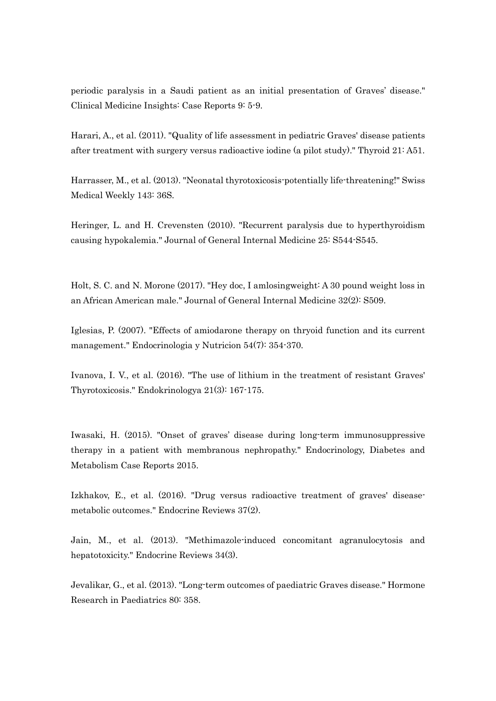periodic paralysis in a Saudi patient as an initial presentation of Graves' disease." Clinical Medicine Insights: Case Reports 9: 5-9.

Harari, A., et al. (2011). "Quality of life assessment in pediatric Graves' disease patients after treatment with surgery versus radioactive iodine (a pilot study)." Thyroid 21: A51.

Harrasser, M., et al. (2013). "Neonatal thyrotoxicosis-potentially life-threatening!" Swiss Medical Weekly 143: 36S.

Heringer, L. and H. Crevensten (2010). "Recurrent paralysis due to hyperthyroidism causing hypokalemia." Journal of General Internal Medicine 25: S544-S545.

Holt, S. C. and N. Morone (2017). "Hey doc, I amlosingweight: A 30 pound weight loss in an African American male." Journal of General Internal Medicine 32(2): S509.

Iglesias, P. (2007). "Effects of amiodarone therapy on thryoid function and its current management." Endocrinologia y Nutricion 54(7): 354-370.

Ivanova, I. V., et al. (2016). "The use of lithium in the treatment of resistant Graves' Thyrotoxicosis." Endokrinologya 21(3): 167-175.

Iwasaki, H. (2015). "Onset of graves' disease during long-term immunosuppressive therapy in a patient with membranous nephropathy." Endocrinology, Diabetes and Metabolism Case Reports 2015.

Izkhakov, E., et al. (2016). "Drug versus radioactive treatment of graves' diseasemetabolic outcomes." Endocrine Reviews 37(2).

Jain, M., et al. (2013). "Methimazole-induced concomitant agranulocytosis and hepatotoxicity." Endocrine Reviews 34(3).

Jevalikar, G., et al. (2013). "Long-term outcomes of paediatric Graves disease." Hormone Research in Paediatrics 80: 358.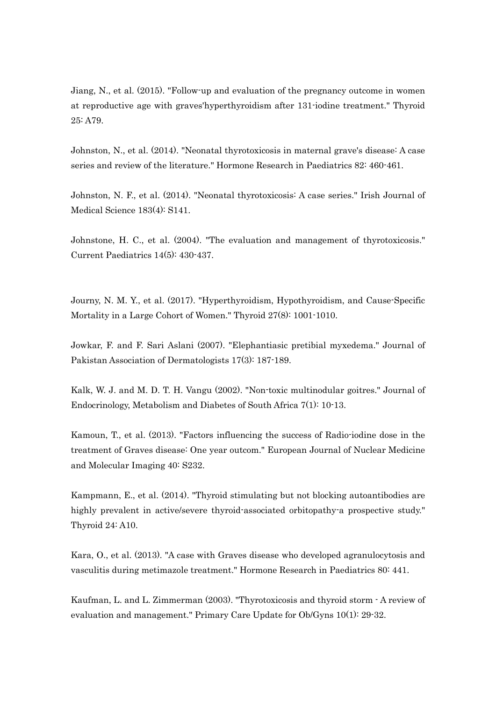Jiang, N., et al. (2015). "Follow-up and evaluation of the pregnancy outcome in women at reproductive age with graves'hyperthyroidism after 131-iodine treatment." Thyroid 25: A79.

Johnston, N., et al. (2014). "Neonatal thyrotoxicosis in maternal grave's disease: A case series and review of the literature." Hormone Research in Paediatrics 82: 460-461.

Johnston, N. F., et al. (2014). "Neonatal thyrotoxicosis: A case series." Irish Journal of Medical Science 183(4): S141.

Johnstone, H. C., et al. (2004). "The evaluation and management of thyrotoxicosis." Current Paediatrics 14(5): 430-437.

Journy, N. M. Y., et al. (2017). "Hyperthyroidism, Hypothyroidism, and Cause-Specific Mortality in a Large Cohort of Women." Thyroid 27(8): 1001-1010.

Jowkar, F. and F. Sari Aslani (2007). "Elephantiasic pretibial myxedema." Journal of Pakistan Association of Dermatologists 17(3): 187-189.

Kalk, W. J. and M. D. T. H. Vangu (2002). "Non-toxic multinodular goitres." Journal of Endocrinology, Metabolism and Diabetes of South Africa 7(1): 10-13.

Kamoun, T., et al. (2013). "Factors influencing the success of Radio-iodine dose in the treatment of Graves disease: One year outcom." European Journal of Nuclear Medicine and Molecular Imaging 40: S232.

Kampmann, E., et al. (2014). "Thyroid stimulating but not blocking autoantibodies are highly prevalent in active/severe thyroid-associated orbitopathy-a prospective study." Thyroid 24: A10.

Kara, O., et al. (2013). "A case with Graves disease who developed agranulocytosis and vasculitis during metimazole treatment." Hormone Research in Paediatrics 80: 441.

Kaufman, L. and L. Zimmerman (2003). "Thyrotoxicosis and thyroid storm - A review of evaluation and management." Primary Care Update for Ob/Gyns 10(1): 29-32.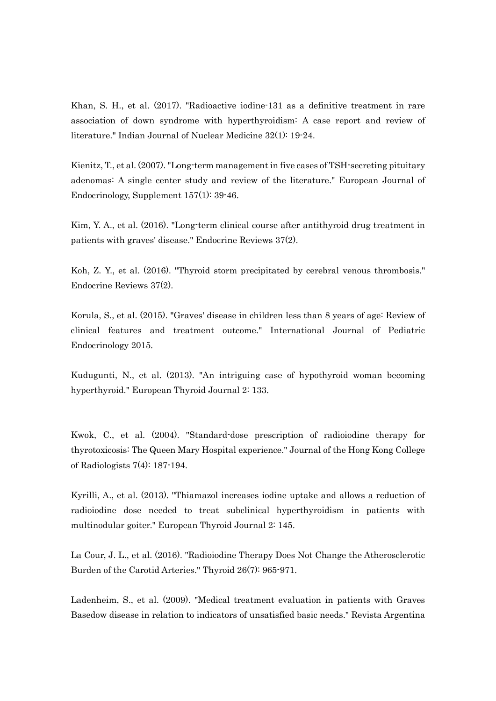Khan, S. H., et al. (2017). "Radioactive iodine-131 as a definitive treatment in rare association of down syndrome with hyperthyroidism: A case report and review of literature." Indian Journal of Nuclear Medicine 32(1): 19-24.

Kienitz, T., et al. (2007). "Long-term management in five cases of TSH-secreting pituitary adenomas: A single center study and review of the literature." European Journal of Endocrinology, Supplement 157(1): 39-46.

Kim, Y. A., et al. (2016). "Long-term clinical course after antithyroid drug treatment in patients with graves' disease." Endocrine Reviews 37(2).

Koh, Z. Y., et al. (2016). "Thyroid storm precipitated by cerebral venous thrombosis." Endocrine Reviews 37(2).

Korula, S., et al. (2015). "Graves' disease in children less than 8 years of age: Review of clinical features and treatment outcome." International Journal of Pediatric Endocrinology 2015.

Kudugunti, N., et al. (2013). "An intriguing case of hypothyroid woman becoming hyperthyroid." European Thyroid Journal 2: 133.

Kwok, C., et al. (2004). "Standard-dose prescription of radioiodine therapy for thyrotoxicosis: The Queen Mary Hospital experience." Journal of the Hong Kong College of Radiologists 7(4): 187-194.

Kyrilli, A., et al. (2013). "Thiamazol increases iodine uptake and allows a reduction of radioiodine dose needed to treat subclinical hyperthyroidism in patients with multinodular goiter." European Thyroid Journal 2: 145.

La Cour, J. L., et al. (2016). "Radioiodine Therapy Does Not Change the Atherosclerotic Burden of the Carotid Arteries." Thyroid 26(7): 965-971.

Ladenheim, S., et al. (2009). "Medical treatment evaluation in patients with Graves Basedow disease in relation to indicators of unsatisfied basic needs." Revista Argentina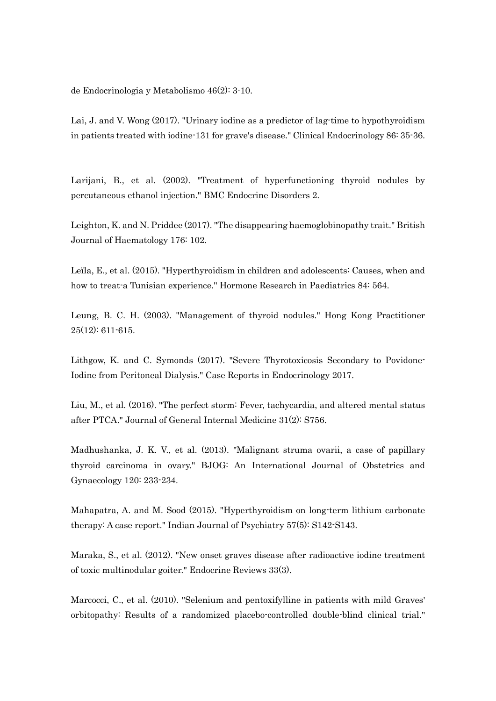de Endocrinologia y Metabolismo 46(2): 3-10.

Lai, J. and V. Wong (2017). "Urinary iodine as a predictor of lag-time to hypothyroidism in patients treated with iodine-131 for grave's disease." Clinical Endocrinology 86: 35-36.

Larijani, B., et al. (2002). "Treatment of hyperfunctioning thyroid nodules by percutaneous ethanol injection." BMC Endocrine Disorders 2.

Leighton, K. and N. Priddee (2017). "The disappearing haemoglobinopathy trait." British Journal of Haematology 176: 102.

Leïla, E., et al. (2015). "Hyperthyroidism in children and adolescents: Causes, when and how to treat-a Tunisian experience." Hormone Research in Paediatrics 84: 564.

Leung, B. C. H. (2003). "Management of thyroid nodules." Hong Kong Practitioner  $25(12): 611-615.$ 

Lithgow, K. and C. Symonds (2017). "Severe Thyrotoxicosis Secondary to Povidone-Iodine from Peritoneal Dialysis." Case Reports in Endocrinology 2017.

Liu, M., et al. (2016). "The perfect storm: Fever, tachycardia, and altered mental status after PTCA." Journal of General Internal Medicine 31(2): S756.

Madhushanka, J. K. V., et al. (2013). "Malignant struma ovarii, a case of papillary thyroid carcinoma in ovary." BJOG: An International Journal of Obstetrics and Gynaecology 120: 233-234.

Mahapatra, A. and M. Sood (2015). "Hyperthyroidism on long-term lithium carbonate therapy: A case report." Indian Journal of Psychiatry 57(5): S142-S143.

Maraka, S., et al. (2012). "New onset graves disease after radioactive iodine treatment of toxic multinodular goiter." Endocrine Reviews 33(3).

Marcocci, C., et al. (2010). "Selenium and pentoxifylline in patients with mild Graves' orbitopathy: Results of a randomized placebo-controlled double-blind clinical trial."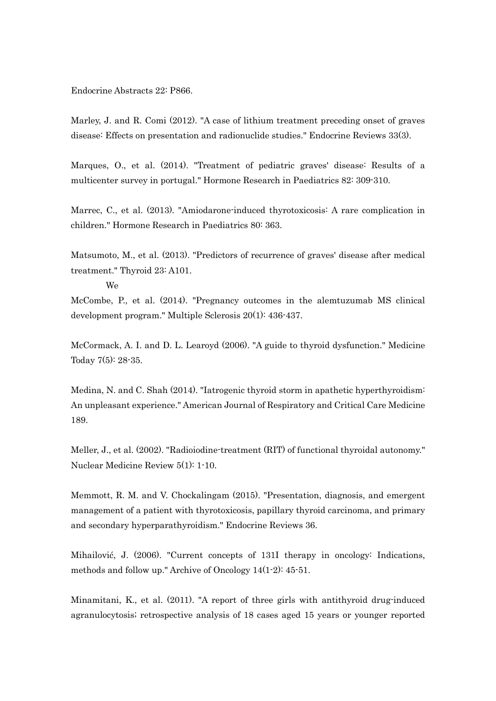Endocrine Abstracts 22: P866.

Marley, J. and R. Comi (2012). "A case of lithium treatment preceding onset of graves disease: Effects on presentation and radionuclide studies." Endocrine Reviews 33(3).

Marques, O., et al. (2014). "Treatment of pediatric graves' disease: Results of a multicenter survey in portugal." Hormone Research in Paediatrics 82: 309-310.

Marrec, C., et al. (2013). "Amiodarone-induced thyrotoxicosis: A rare complication in children." Hormone Research in Paediatrics 80: 363.

Matsumoto, M., et al. (2013). "Predictors of recurrence of graves' disease after medical treatment." Thyroid 23: A101.

We

McCombe, P., et al. (2014). "Pregnancy outcomes in the alemtuzumab MS clinical development program." Multiple Sclerosis 20(1): 436-437.

McCormack, A. I. and D. L. Learoyd (2006). "A guide to thyroid dysfunction." Medicine Today 7(5): 28-35.

Medina, N. and C. Shah (2014). "Iatrogenic thyroid storm in apathetic hyperthyroidism: An unpleasant experience." American Journal of Respiratory and Critical Care Medicine 189.

Meller, J., et al. (2002). "Radioiodine-treatment (RIT) of functional thyroidal autonomy." Nuclear Medicine Review 5(1): 1-10.

Memmott, R. M. and V. Chockalingam (2015). "Presentation, diagnosis, and emergent management of a patient with thyrotoxicosis, papillary thyroid carcinoma, and primary and secondary hyperparathyroidism." Endocrine Reviews 36.

Mihailović, J. (2006). "Current concepts of 131I therapy in oncology: Indications, methods and follow up." Archive of Oncology 14(1-2): 45-51.

Minamitani, K., et al. (2011). "A report of three girls with antithyroid drug-induced agranulocytosis; retrospective analysis of 18 cases aged 15 years or younger reported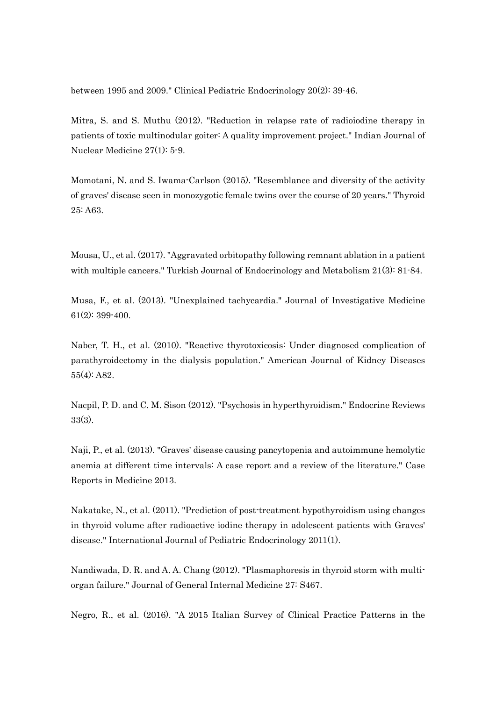between 1995 and 2009." Clinical Pediatric Endocrinology 20(2): 39-46.

Mitra, S. and S. Muthu (2012). "Reduction in relapse rate of radioiodine therapy in patients of toxic multinodular goiter: A quality improvement project." Indian Journal of Nuclear Medicine 27(1): 5-9.

Momotani, N. and S. Iwama-Carlson (2015). "Resemblance and diversity of the activity of graves' disease seen in monozygotic female twins over the course of 20 years." Thyroid 25: A63.

Mousa, U., et al. (2017). "Aggravated orbitopathy following remnant ablation in a patient with multiple cancers." Turkish Journal of Endocrinology and Metabolism 21(3): 81-84.

Musa, F., et al. (2013). "Unexplained tachycardia." Journal of Investigative Medicine 61(2): 399-400.

Naber, T. H., et al. (2010). "Reactive thyrotoxicosis: Under diagnosed complication of parathyroidectomy in the dialysis population." American Journal of Kidney Diseases 55(4): A82.

Nacpil, P. D. and C. M. Sison (2012). "Psychosis in hyperthyroidism." Endocrine Reviews 33(3).

Naji, P., et al. (2013). "Graves' disease causing pancytopenia and autoimmune hemolytic anemia at different time intervals: A case report and a review of the literature." Case Reports in Medicine 2013.

Nakatake, N., et al. (2011). "Prediction of post-treatment hypothyroidism using changes in thyroid volume after radioactive iodine therapy in adolescent patients with Graves' disease." International Journal of Pediatric Endocrinology 2011(1).

Nandiwada, D. R. and A. A. Chang (2012). "Plasmaphoresis in thyroid storm with multiorgan failure." Journal of General Internal Medicine 27: S467.

Negro, R., et al. (2016). "A 2015 Italian Survey of Clinical Practice Patterns in the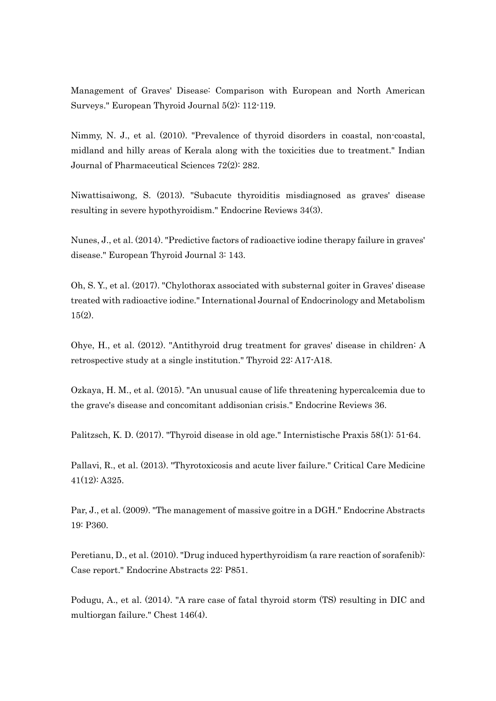Management of Graves' Disease: Comparison with European and North American Surveys." European Thyroid Journal 5(2): 112-119.

Nimmy, N. J., et al. (2010). "Prevalence of thyroid disorders in coastal, non-coastal, midland and hilly areas of Kerala along with the toxicities due to treatment." Indian Journal of Pharmaceutical Sciences 72(2): 282.

Niwattisaiwong, S. (2013). "Subacute thyroiditis misdiagnosed as graves' disease resulting in severe hypothyroidism." Endocrine Reviews 34(3).

Nunes, J., et al. (2014). "Predictive factors of radioactive iodine therapy failure in graves' disease." European Thyroid Journal 3: 143.

Oh, S. Y., et al. (2017). "Chylothorax associated with substernal goiter in Graves' disease treated with radioactive iodine." International Journal of Endocrinology and Metabolism 15(2).

Ohye, H., et al. (2012). "Antithyroid drug treatment for graves' disease in children: A retrospective study at a single institution." Thyroid 22: A17-A18.

Ozkaya, H. M., et al. (2015). "An unusual cause of life threatening hypercalcemia due to the grave's disease and concomitant addisonian crisis." Endocrine Reviews 36.

Palitzsch, K. D. (2017). "Thyroid disease in old age." Internistische Praxis 58(1): 51-64.

Pallavi, R., et al. (2013). "Thyrotoxicosis and acute liver failure." Critical Care Medicine 41(12): A325.

Par, J., et al. (2009). "The management of massive goitre in a DGH." Endocrine Abstracts 19: P360.

Peretianu, D., et al. (2010). "Drug induced hyperthyroidism (a rare reaction of sorafenib): Case report." Endocrine Abstracts 22: P851.

Podugu, A., et al. (2014). "A rare case of fatal thyroid storm (TS) resulting in DIC and multiorgan failure." Chest 146(4).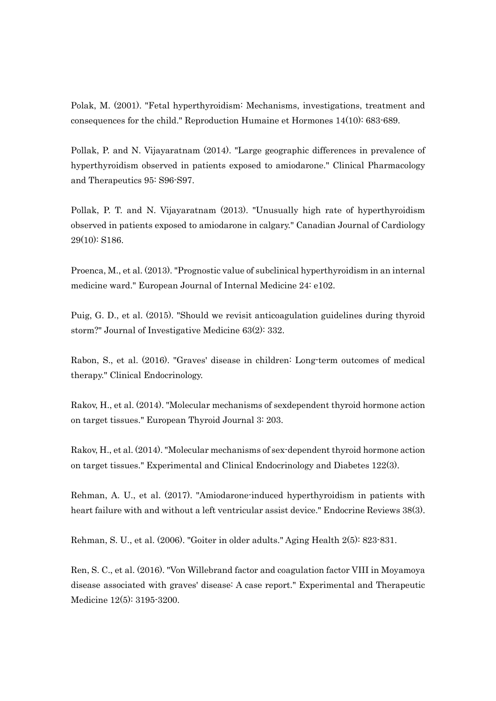Polak, M. (2001). "Fetal hyperthyroidism: Mechanisms, investigations, treatment and consequences for the child." Reproduction Humaine et Hormones 14(10): 683-689.

Pollak, P. and N. Vijayaratnam (2014). "Large geographic differences in prevalence of hyperthyroidism observed in patients exposed to amiodarone." Clinical Pharmacology and Therapeutics 95: S96-S97.

Pollak, P. T. and N. Vijayaratnam (2013). "Unusually high rate of hyperthyroidism observed in patients exposed to amiodarone in calgary." Canadian Journal of Cardiology 29(10): S186.

Proenca, M., et al. (2013). "Prognostic value of subclinical hyperthyroidism in an internal medicine ward." European Journal of Internal Medicine 24: e102.

Puig, G. D., et al. (2015). "Should we revisit anticoagulation guidelines during thyroid storm?" Journal of Investigative Medicine 63(2): 332.

Rabon, S., et al. (2016). "Graves' disease in children: Long-term outcomes of medical therapy." Clinical Endocrinology.

Rakov, H., et al. (2014). "Molecular mechanisms of sexdependent thyroid hormone action on target tissues." European Thyroid Journal 3: 203.

Rakov, H., et al. (2014). "Molecular mechanisms of sex-dependent thyroid hormone action on target tissues." Experimental and Clinical Endocrinology and Diabetes 122(3).

Rehman, A. U., et al. (2017). "Amiodarone-induced hyperthyroidism in patients with heart failure with and without a left ventricular assist device." Endocrine Reviews 38(3).

Rehman, S. U., et al. (2006). "Goiter in older adults." Aging Health 2(5): 823-831.

Ren, S. C., et al. (2016). "Von Willebrand factor and coagulation factor VIII in Moyamoya disease associated with graves' disease: A case report." Experimental and Therapeutic Medicine 12(5): 3195-3200.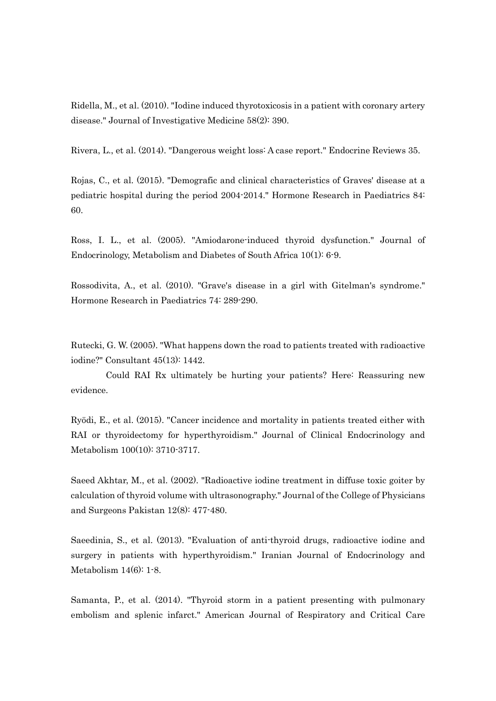Ridella, M., et al. (2010). "Iodine induced thyrotoxicosis in a patient with coronary artery disease." Journal of Investigative Medicine 58(2): 390.

Rivera, L., et al. (2014). "Dangerous weight loss: A case report." Endocrine Reviews 35.

Rojas, C., et al. (2015). "Demografic and clinical characteristics of Graves' disease at a pediatric hospital during the period 2004-2014." Hormone Research in Paediatrics 84: 60.

Ross, I. L., et al. (2005). "Amiodarone-induced thyroid dysfunction." Journal of Endocrinology, Metabolism and Diabetes of South Africa 10(1): 6-9.

Rossodivita, A., et al. (2010). "Grave's disease in a girl with Gitelman's syndrome." Hormone Research in Paediatrics 74: 289-290.

Rutecki, G. W. (2005). "What happens down the road to patients treated with radioactive iodine?" Consultant 45(13): 1442.

Could RAI Rx ultimately be hurting your patients? Here: Reassuring new evidence.

Ryödi, E., et al. (2015). "Cancer incidence and mortality in patients treated either with RAI or thyroidectomy for hyperthyroidism." Journal of Clinical Endocrinology and Metabolism 100(10): 3710-3717.

Saeed Akhtar, M., et al. (2002). "Radioactive iodine treatment in diffuse toxic goiter by calculation of thyroid volume with ultrasonography." Journal of the College of Physicians and Surgeons Pakistan 12(8): 477-480.

Saeedinia, S., et al. (2013). "Evaluation of anti-thyroid drugs, radioactive iodine and surgery in patients with hyperthyroidism." Iranian Journal of Endocrinology and Metabolism 14(6): 1-8.

Samanta, P., et al. (2014). "Thyroid storm in a patient presenting with pulmonary embolism and splenic infarct." American Journal of Respiratory and Critical Care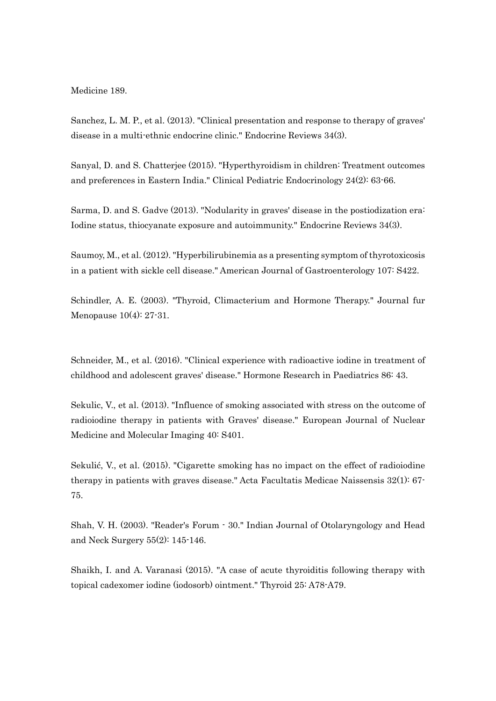Medicine 189.

Sanchez, L. M. P., et al. (2013). "Clinical presentation and response to therapy of graves' disease in a multi-ethnic endocrine clinic." Endocrine Reviews 34(3).

Sanyal, D. and S. Chatterjee (2015). "Hyperthyroidism in children: Treatment outcomes and preferences in Eastern India." Clinical Pediatric Endocrinology 24(2): 63-66.

Sarma, D. and S. Gadve (2013). "Nodularity in graves' disease in the postiodization era: Iodine status, thiocyanate exposure and autoimmunity." Endocrine Reviews 34(3).

Saumoy, M., et al. (2012). "Hyperbilirubinemia as a presenting symptom of thyrotoxicosis in a patient with sickle cell disease." American Journal of Gastroenterology 107: S422.

Schindler, A. E. (2003). "Thyroid, Climacterium and Hormone Therapy." Journal fur Menopause 10(4): 27-31.

Schneider, M., et al. (2016). "Clinical experience with radioactive iodine in treatment of childhood and adolescent graves' disease." Hormone Research in Paediatrics 86: 43.

Sekulic, V., et al. (2013). "Influence of smoking associated with stress on the outcome of radioiodine therapy in patients with Graves' disease." European Journal of Nuclear Medicine and Molecular Imaging 40: S401.

Sekulić, V., et al. (2015). "Cigarette smoking has no impact on the effect of radioiodine therapy in patients with graves disease." Acta Facultatis Medicae Naissensis 32(1): 67- 75.

Shah, V. H. (2003). "Reader's Forum - 30." Indian Journal of Otolaryngology and Head and Neck Surgery 55(2): 145-146.

Shaikh, I. and A. Varanasi (2015). "A case of acute thyroiditis following therapy with topical cadexomer iodine (iodosorb) ointment." Thyroid 25: A78-A79.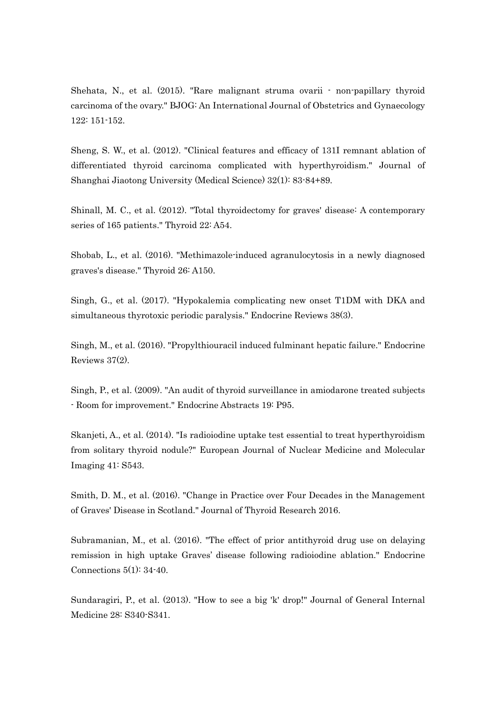Shehata, N., et al. (2015). "Rare malignant struma ovarii - non-papillary thyroid carcinoma of the ovary." BJOG: An International Journal of Obstetrics and Gynaecology 122: 151-152.

Sheng, S. W., et al. (2012). "Clinical features and efficacy of 131I remnant ablation of differentiated thyroid carcinoma complicated with hyperthyroidism." Journal of Shanghai Jiaotong University (Medical Science) 32(1): 83-84+89.

Shinall, M. C., et al. (2012). "Total thyroidectomy for graves' disease: A contemporary series of 165 patients." Thyroid 22: A54.

Shobab, L., et al. (2016). "Methimazole-induced agranulocytosis in a newly diagnosed graves's disease." Thyroid 26: A150.

Singh, G., et al. (2017). "Hypokalemia complicating new onset T1DM with DKA and simultaneous thyrotoxic periodic paralysis." Endocrine Reviews 38(3).

Singh, M., et al. (2016). "Propylthiouracil induced fulminant hepatic failure." Endocrine Reviews 37(2).

Singh, P., et al. (2009). "An audit of thyroid surveillance in amiodarone treated subjects - Room for improvement." Endocrine Abstracts 19: P95.

Skanjeti, A., et al. (2014). "Is radioiodine uptake test essential to treat hyperthyroidism from solitary thyroid nodule?" European Journal of Nuclear Medicine and Molecular Imaging 41: S543.

Smith, D. M., et al. (2016). "Change in Practice over Four Decades in the Management of Graves' Disease in Scotland." Journal of Thyroid Research 2016.

Subramanian, M., et al. (2016). "The effect of prior antithyroid drug use on delaying remission in high uptake Graves' disease following radioiodine ablation." Endocrine Connections 5(1): 34-40.

Sundaragiri, P., et al. (2013). "How to see a big 'k' drop!" Journal of General Internal Medicine 28: S340-S341.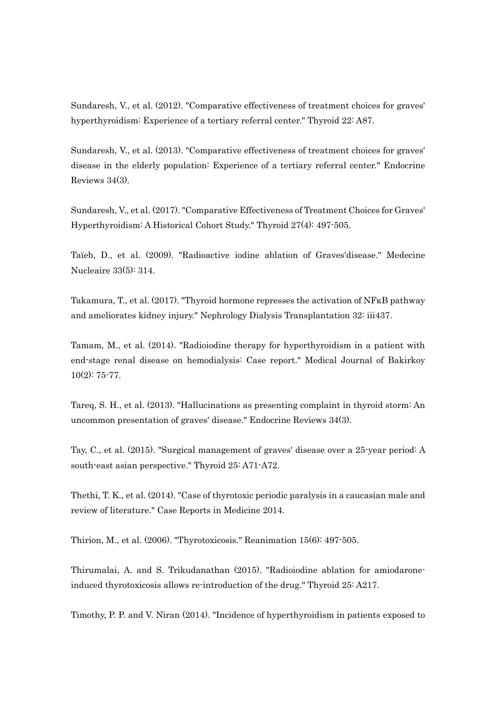Sundaresh, V., et al. (2012). "Comparative effectiveness of treatment choices for graves' hyperthyroidism: Experience of a tertiary referral center." Thyroid 22: A87.

Sundaresh, V., et al. (2013). "Comparative effectiveness of treatment choices for graves' disease in the elderly population: Experience of a tertiary referral center." Endocrine Reviews 34(3).

Sundaresh, V., et al. (2017). "Comparative Effectiveness of Treatment Choices for Graves' Hyperthyroidism: A Historical Cohort Study." Thyroid 27(4): 497-505.

Taïeb, D., et al. (2009). "Radioactive iodine ablation of Graves'disease." Medecine Nucleaire 33(5): 314.

Takamura, T., et al. (2017). "Thyroid hormone represses the activation of NFκB pathway and ameliorates kidney injury." Nephrology Dialysis Transplantation 32: iii437.

Tamam, M., et al. (2014). "Radioiodine therapy for hyperthyroidism in a patient with end-stage renal disease on hemodialysis: Case report." Medical Journal of Bakirkoy 10(2): 75-77.

Tareq, S. H., et al. (2013). "Hallucinations as presenting complaint in thyroid storm: An uncommon presentation of graves' disease." Endocrine Reviews 34(3).

Tay, C., et al. (2015). "Surgical management of graves' disease over a 25-year period: A south-east asian perspective." Thyroid 25: A71-A72.

Thethi, T. K., et al. (2014). "Case of thyrotoxic periodic paralysis in a caucasian male and review of literature." Case Reports in Medicine 2014.

Thirion, M., et al. (2006). "Thyrotoxicosis." Reanimation 15(6): 497-505.

Thirumalai, A. and S. Trikudanathan (2015). "Radioiodine ablation for amiodaroneinduced thyrotoxicosis allows re-introduction of the drug." Thyroid 25: A217.

Timothy, P. P. and V. Niran (2014). "Incidence of hyperthyroidism in patients exposed to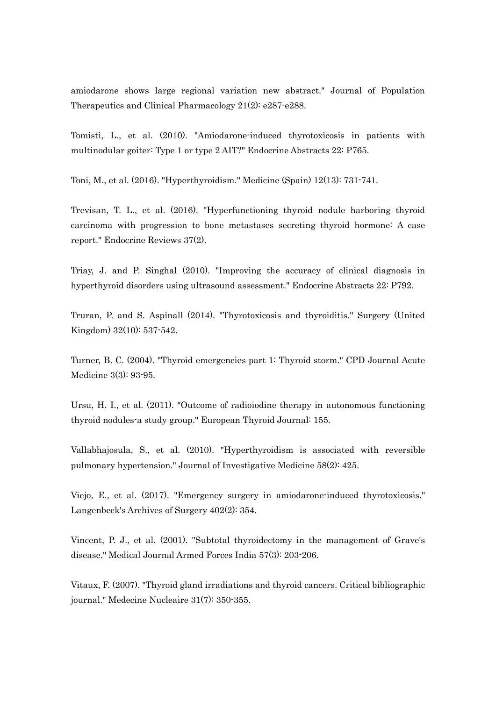amiodarone shows large regional variation new abstract." Journal of Population Therapeutics and Clinical Pharmacology 21(2): e287-e288.

Tomisti, L., et al. (2010). "Amiodarone-induced thyrotoxicosis in patients with multinodular goiter: Type 1 or type 2 AIT?" Endocrine Abstracts 22: P765.

Toni, M., et al. (2016). "Hyperthyroidism." Medicine (Spain) 12(13): 731-741.

Trevisan, T. L., et al. (2016). "Hyperfunctioning thyroid nodule harboring thyroid carcinoma with progression to bone metastases secreting thyroid hormone: A case report." Endocrine Reviews 37(2).

Triay, J. and P. Singhal (2010). "Improving the accuracy of clinical diagnosis in hyperthyroid disorders using ultrasound assessment." Endocrine Abstracts 22: P792.

Truran, P. and S. Aspinall (2014). "Thyrotoxicosis and thyroiditis." Surgery (United Kingdom) 32(10): 537-542.

Turner, B. C. (2004). "Thyroid emergencies part 1: Thyroid storm." CPD Journal Acute Medicine 3(3): 93-95.

Ursu, H. I., et al. (2011). "Outcome of radioiodine therapy in autonomous functioning thyroid nodules-a study group." European Thyroid Journal: 155.

Vallabhajosula, S., et al. (2010). "Hyperthyroidism is associated with reversible pulmonary hypertension." Journal of Investigative Medicine 58(2): 425.

Viejo, E., et al. (2017). "Emergency surgery in amiodarone-induced thyrotoxicosis." Langenbeck's Archives of Surgery 402(2): 354.

Vincent, P. J., et al. (2001). "Subtotal thyroidectomy in the management of Grave's disease." Medical Journal Armed Forces India 57(3): 203-206.

Vitaux, F. (2007). "Thyroid gland irradiations and thyroid cancers. Critical bibliographic journal." Medecine Nucleaire 31(7): 350-355.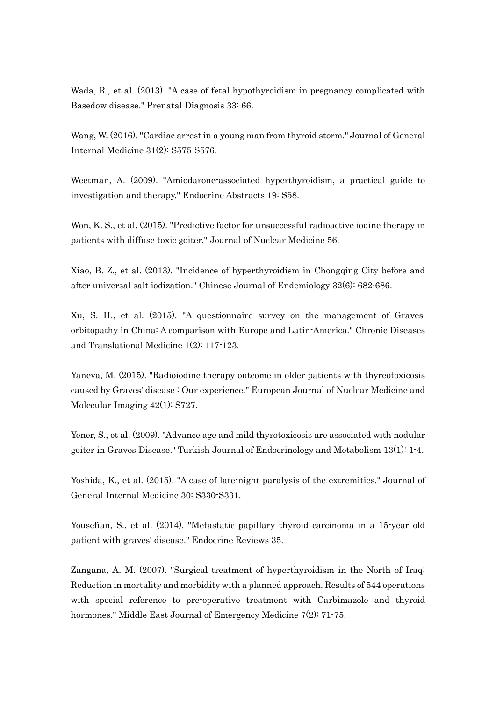Wada, R., et al. (2013). "A case of fetal hypothyroidism in pregnancy complicated with Basedow disease." Prenatal Diagnosis 33: 66.

Wang, W. (2016). "Cardiac arrest in a young man from thyroid storm." Journal of General Internal Medicine 31(2): S575-S576.

Weetman, A. (2009). "Amiodarone-associated hyperthyroidism, a practical guide to investigation and therapy." Endocrine Abstracts 19: S58.

Won, K. S., et al. (2015). "Predictive factor for unsuccessful radioactive iodine therapy in patients with diffuse toxic goiter." Journal of Nuclear Medicine 56.

Xiao, B. Z., et al. (2013). "Incidence of hyperthyroidism in Chongqing City before and after universal salt iodization." Chinese Journal of Endemiology 32(6): 682-686.

Xu, S. H., et al. (2015). "A questionnaire survey on the management of Graves' orbitopathy in China: A comparison with Europe and Latin-America." Chronic Diseases and Translational Medicine 1(2): 117-123.

Yaneva, M. (2015). "Radioiodine therapy outcome in older patients with thyreotoxicosis caused by Graves' disease : Our experience." European Journal of Nuclear Medicine and Molecular Imaging 42(1): S727.

Yener, S., et al. (2009). "Advance age and mild thyrotoxicosis are associated with nodular goiter in Graves Disease." Turkish Journal of Endocrinology and Metabolism 13(1): 1-4.

Yoshida, K., et al. (2015). "A case of late-night paralysis of the extremities." Journal of General Internal Medicine 30: S330-S331.

Yousefian, S., et al. (2014). "Metastatic papillary thyroid carcinoma in a 15-year old patient with graves' disease." Endocrine Reviews 35.

Zangana, A. M. (2007). "Surgical treatment of hyperthyroidism in the North of Iraq: Reduction in mortality and morbidity with a planned approach. Results of 544 operations with special reference to pre-operative treatment with Carbimazole and thyroid hormones." Middle East Journal of Emergency Medicine 7(2): 71-75.